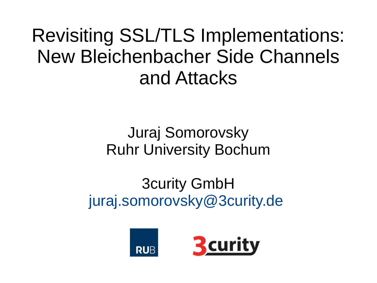Revisiting SSL/TLS Implementations: New Bleichenbacher Side Channels and Attacks

#### Juraj Somorovsky Ruhr University Bochum

3curity GmbH [juraj.somorovsky@3curity.de](mailto:juraj.somorovsky@3curity.de)

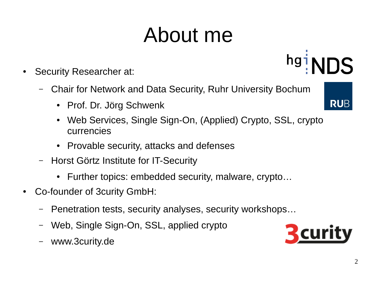#### About me

- Security Researcher at:
	- Chair for Network and Data Security, Ruhr University Bochum
		- Prof. Dr. Jörg Schwenk
		- Web Services, Single Sign-On, (Applied) Crypto, SSL, crypto currencies
		- Provable security, attacks and defenses
	- Horst Görtz Institute for IT-Security
		- Further topics: embedded security, malware, crypto...
- Co-founder of 3curity GmbH:
	- Penetration tests, security analyses, security workshops…
	- Web, Single Sign-On, SSL, applied crypto
	- [www.3curity.de](http://www.3curity.de/)





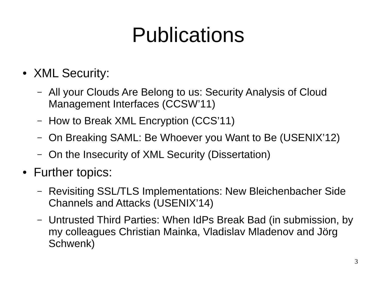#### Publications

- XML Security:
	- All your Clouds Are Belong to us: Security Analysis of Cloud Management Interfaces (CCSW'11)
	- How to Break XML Encryption (CCS'11)
	- On Breaking SAML: Be Whoever you Want to Be (USENIX'12)
	- On the Insecurity of XML Security (Dissertation)
- Further topics:
	- Revisiting SSL/TLS Implementations: New Bleichenbacher Side Channels and Attacks (USENIX'14)
	- Untrusted Third Parties: When IdPs Break Bad (in submission, by my colleagues Christian Mainka, Vladislav Mladenov and Jörg Schwenk)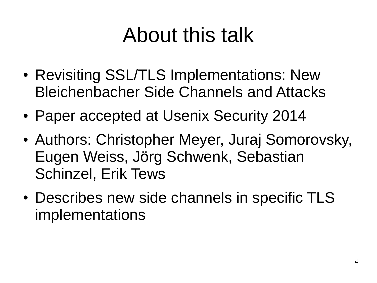#### About this talk

- Revisiting SSL/TLS Implementations: New Bleichenbacher Side Channels and Attacks
- Paper accepted at Usenix Security 2014
- Authors: Christopher Meyer, Juraj Somorovsky, Eugen Weiss, Jörg Schwenk, Sebastian Schinzel, Erik Tews
- Describes new side channels in specific TLS implementations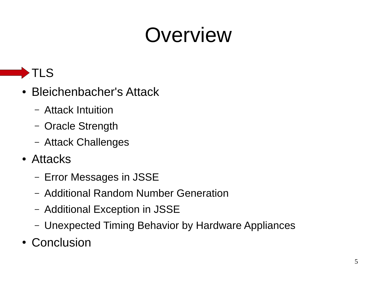#### Overview



- Bleichenbacher's Attack
	- Attack Intuition
	- Oracle Strength
	- Attack Challenges
- Attacks
	- Error Messages in JSSE
	- Additional Random Number Generation
	- Additional Exception in JSSE
	- Unexpected Timing Behavior by Hardware Appliances
- Conclusion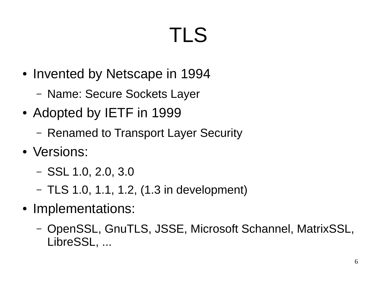# TLS

- Invented by Netscape in 1994
	- Name: Secure Sockets Layer
- Adopted by IETF in 1999
	- Renamed to Transport Layer Security
- Versions:
	- SSL 1.0, 2.0, 3.0
	- $-$  TLS 1.0, 1.1, 1.2, (1.3 in development)
- Implementations:
	- OpenSSL, GnuTLS, JSSE, Microsoft Schannel, MatrixSSL, LibreSSL, ...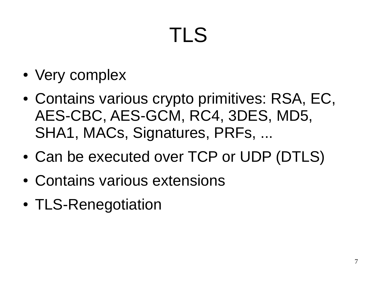# TLS

- Very complex
- Contains various crypto primitives: RSA, EC, AES-CBC, AES-GCM, RC4, 3DES, MD5, SHA1, MACs, Signatures, PRFs, ...
- Can be executed over TCP or UDP (DTLS)
- Contains various extensions
- TLS-Renegotiation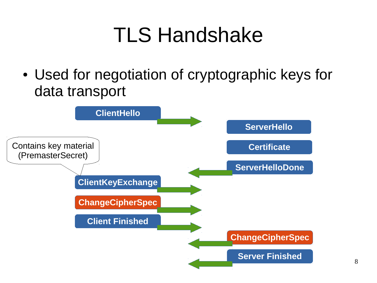#### TLS Handshake

• Used for negotiation of cryptographic keys for data transport

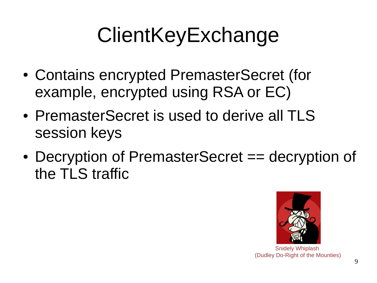## **ClientKeyExchange**

- Contains encrypted PremasterSecret (for example, encrypted using RSA or EC)
- PremasterSecret is used to derive all TLS session keys
- Decryption of PremasterSecret == decryption of the TLS traffic



Snidely Whiplash (Dudley Do-Right of the Mounties)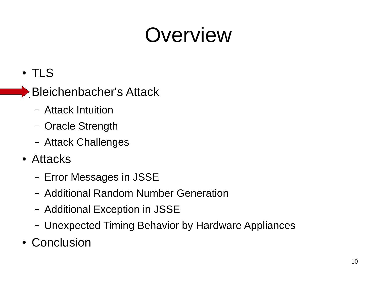#### Overview

- TLS
- $\blacktriangleright$  Bleichenbacher's Attack
	- Attack Intuition
	- Oracle Strength
	- Attack Challenges
- Attacks
	- Error Messages in JSSE
	- Additional Random Number Generation
	- Additional Exception in JSSE
	- Unexpected Timing Behavior by Hardware Appliances
- Conclusion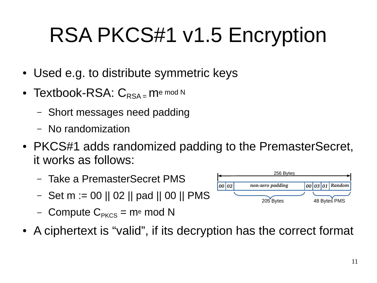# RSA PKCS#1 v1.5 Encryption

- Used e.g. to distribute symmetric keys
- Textbook-RSA:  $C_{\text{RSA}}$  = me mod N
	- Short messages need padding
	- No randomization
- PKCS#1 adds randomized padding to the PremasterSecret, it works as follows:
	- Take a PremasterSecret PMS
	- Set m := 00 || 02 || pad || 00 || PMS
	- Compute  $C_{PKCS}$  = me mod N
- A ciphertext is "valid", if its decryption has the correct format

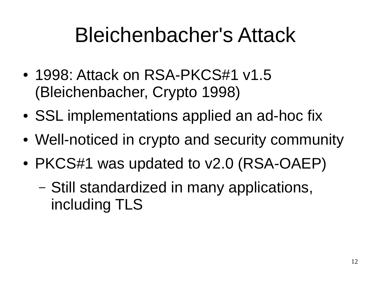#### Bleichenbacher's Attack

- 1998: Attack on RSA-PKCS#1 v1.5 (Bleichenbacher, Crypto 1998)
- SSL implementations applied an ad-hoc fix
- Well-noticed in crypto and security community
- PKCS#1 was updated to v2.0 (RSA-OAEP)
	- Still standardized in many applications, including TLS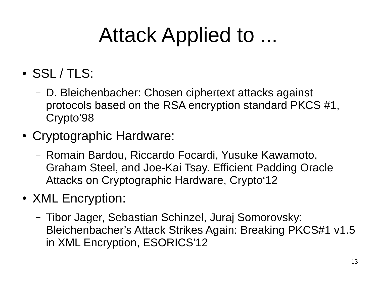#### Attack Applied to ...

- SSL / TLS:
	- D. Bleichenbacher: Chosen ciphertext attacks against protocols based on the RSA encryption standard PKCS #1, Crypto'98
- Cryptographic Hardware:
	- Romain Bardou, Riccardo Focardi, Yusuke Kawamoto, Graham Steel, and Joe-Kai Tsay. Efficient Padding Oracle Attacks on Cryptographic Hardware, Crypto'12
- XML Encryption:
	- Tibor Jager, Sebastian Schinzel, Juraj Somorovsky: Bleichenbacher's Attack Strikes Again: Breaking PKCS#1 v1.5 in XML Encryption, ESORICS'12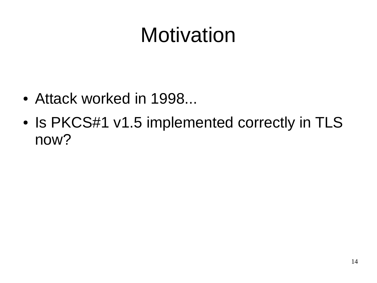#### Motivation

- Attack worked in 1998...
- Is PKCS#1 v1.5 implemented correctly in TLS now?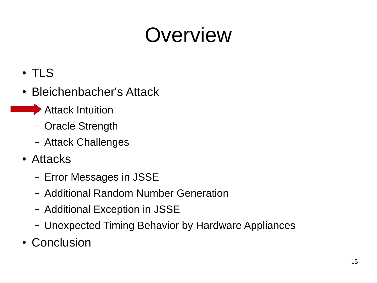#### Overview

- TLS
- Bleichenbacher's Attack
	- $\blacktriangleright$  Attack Intuition
		- Oracle Strength
		- Attack Challenges
- Attacks
	- Error Messages in JSSE
	- Additional Random Number Generation
	- Additional Exception in JSSE
	- Unexpected Timing Behavior by Hardware Appliances
- Conclusion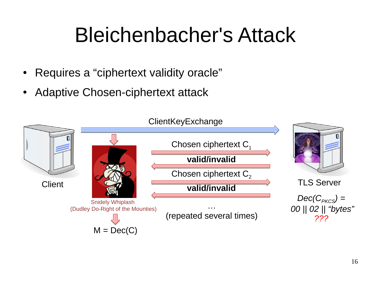#### Bleichenbacher's Attack

- Requires a "ciphertext validity oracle"
- Adaptive Chosen-ciphertext attack

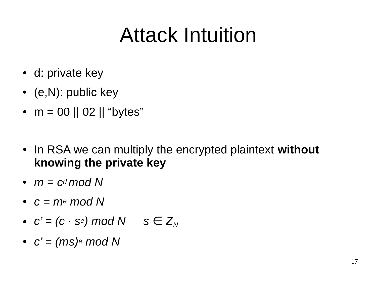#### Attack Intuition

- d: private key
- (e, N): public key
- $m = 00$  || 02 || "bytes"
- In RSA we can multiply the encrypted plaintext **without knowing the private key**
- $m = c$ <sup>*d*</sup> mod N
- *c = me mod N*
- $c' = (c \cdot s_e) \mod N$   $s \in Z_N$
- $c' = (ms)e \mod N$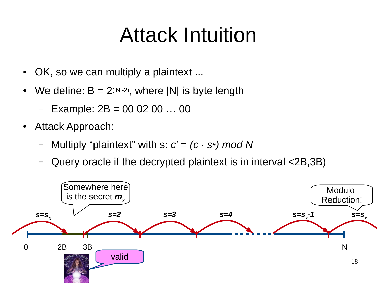#### Attack Intuition

- OK, so we can multiply a plaintext ...
- We define:  $B = 2^{(|N|-2)}$ , where |N| is byte length
	- $-$  Example: 2B = 00 02 00 ... 00
- Attack Approach:
	- Multiply "plaintext" with s: *c' = (c · se) mod N*
	- Query oracle if the decrypted plaintext is in interval <2B,3B)

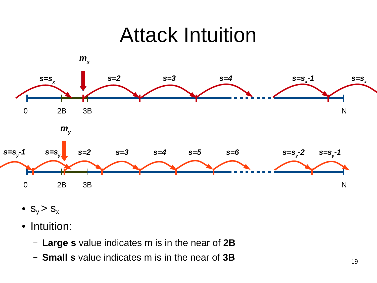#### Attack Intuition



- $S_y > S_x$
- Intuition:
	- **Large s** value indicates m is in the near of **2B**
	- **Small s** value indicates m is in the near of **3B**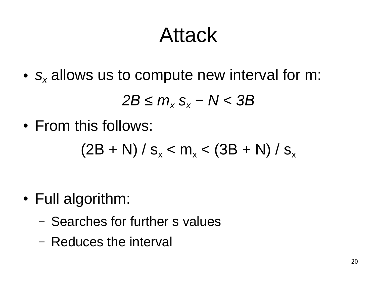#### Attack

● *s<sup>x</sup>* allows us to compute new interval for m:

 $2B \leq m_x S_x - N < 3B$ 

• From this follows:

 $(2B + N) / s_x < m_x < (3B + N) / s_x$ 

- Full algorithm:
	- Searches for further s values
	- Reduces the interval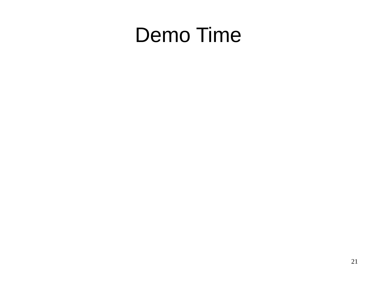#### Demo Time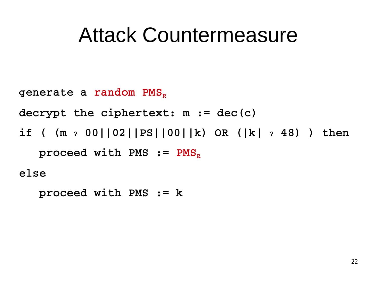#### Attack Countermeasure

```
generate a random PMS<sub>R</sub>
decrypt the ciphertext: m := dec(c)
if ( (m ? 00||02||PS||00||k) OR (|k| ? 48) ) then 
   proceed with PMS := PMS<sub>R</sub>
else
```

```
   proceed with PMS := k
```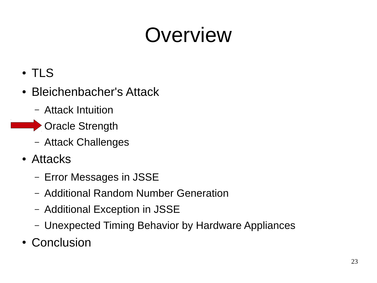#### Overview

- TLS
- Bleichenbacher's Attack
	- Attack Intuition
- **Cracle Strength** 
	- Attack Challenges
	- Attacks
		- Error Messages in JSSE
		- Additional Random Number Generation
		- Additional Exception in JSSE
		- Unexpected Timing Behavior by Hardware Appliances
	- Conclusion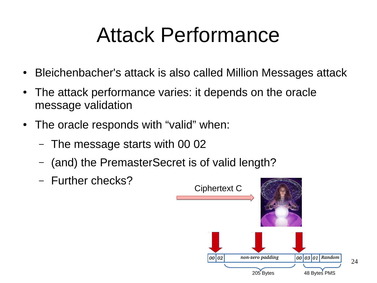#### Attack Performance

- Bleichenbacher's attack is also called Million Messages attack
- The attack performance varies: it depends on the oracle message validation
- The oracle responds with "valid" when:
	- The message starts with 00 02
	- (and) the PremasterSecret is of valid length?
	- Further checks?

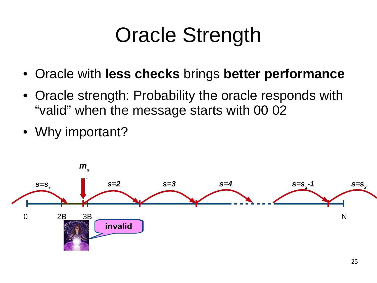#### Oracle Strength

- Oracle with **less checks** brings **better performance**
- Oracle strength: Probability the oracle responds with "valid" when the message starts with 00 02
- Why important?

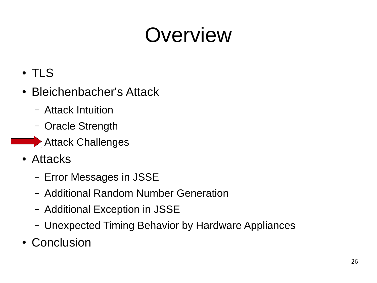#### Overview

- TLS
- Bleichenbacher's Attack
	- Attack Intuition
	- Oracle Strength
- **External Attack Challenges** 
	- Attacks
		- Error Messages in JSSE
		- Additional Random Number Generation
		- Additional Exception in JSSE
		- Unexpected Timing Behavior by Hardware Appliances
	- Conclusion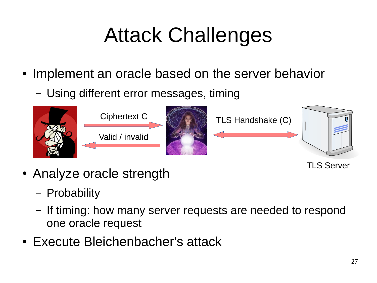# Attack Challenges

- Implement an oracle based on the server behavior
	- Using different error messages, timing



TLS Server

- Analyze oracle strength
	- Probability
	- If timing: how many server requests are needed to respond one oracle request
- Execute Bleichenbacher's attack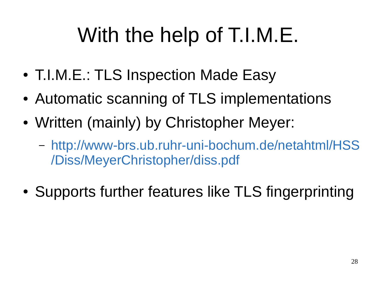# With the help of T.I.M.E.

- T.I.M.E.: TLS Inspection Made Easy
- Automatic scanning of TLS implementations
- Written (mainly) by Christopher Meyer:
	- [http://www-brs.ub.ruhr-uni-bochum.de/netahtml/HSS](http://www-brs.ub.ruhr-uni-bochum.de/netahtml/HSS/Diss/MeyerChristopher/diss.pdf) [/Diss/MeyerChristopher/diss.pdf](http://www-brs.ub.ruhr-uni-bochum.de/netahtml/HSS/Diss/MeyerChristopher/diss.pdf)
- Supports further features like TLS fingerprinting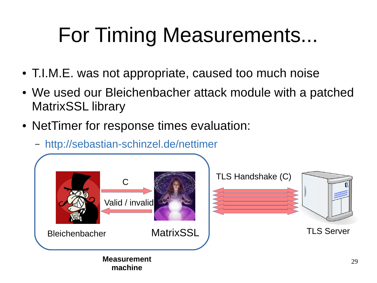# For Timing Measurements...

- T.I.M.E. was not appropriate, caused too much noise
- We used our Bleichenbacher attack module with a patched MatrixSSL library
- NetTimer for response times evaluation:
	- <http://sebastian-schinzel.de/nettimer>

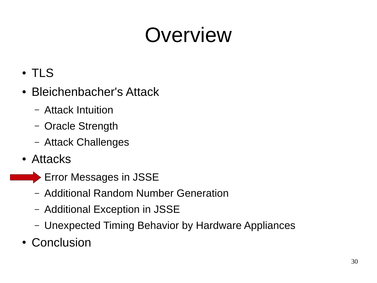#### Overview

- TLS
- Bleichenbacher's Attack
	- Attack Intuition
	- Oracle Strength
	- Attack Challenges
- Attacks
- **ERRY ERRY ENDING MESSAGES IN JSSE** 
	- Additional Random Number Generation
	- Additional Exception in JSSE
	- Unexpected Timing Behavior by Hardware Appliances
	- Conclusion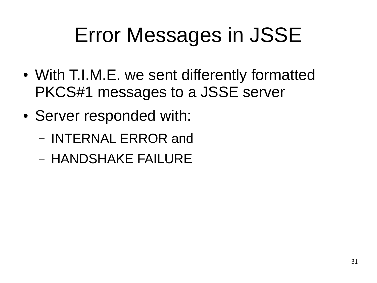#### Error Messages in JSSE

- With T.I.M.E. we sent differently formatted PKCS#1 messages to a JSSE server
- Server responded with:
	- INTERNAL ERROR and
	- HANDSHAKE FAILURE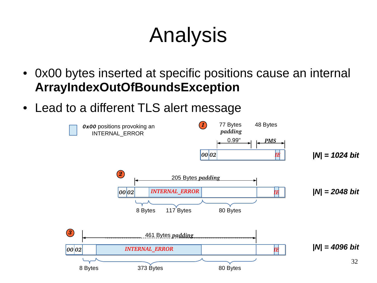### Analysis

- Ox00 bytes inserted at specific positions cause an internal **ArrayIndexOutOfBoundsException**
- Lead to a different TLS alert message

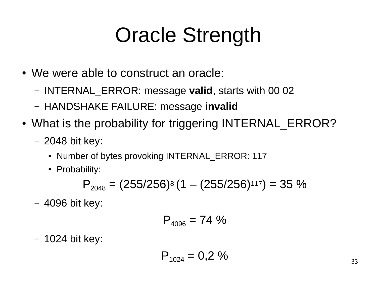#### Oracle Strength

- We were able to construct an oracle:
	- INTERNAL\_ERROR: message **valid**, starts with 00 02
	- HANDSHAKE FAILURE: message **invalid**
- What is the probability for triggering INTERNAL ERROR?
	- 2048 bit key:
		- Number of bytes provoking INTERNAL ERROR: 117
		- Probability:

$$
P_{2048} = (255/256)^8 (1 - (255/256)^{117}) = 35\%
$$

– 4096 bit key:

$$
P_{4096} = 74\%
$$

– 1024 bit key:

$$
P_{1024} = 0.2\%
$$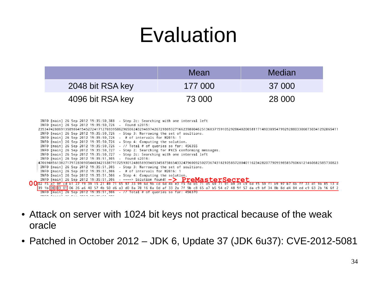#### Evaluation

|                  | Mean    | Median |
|------------------|---------|--------|
| 2048 bit RSA key | 177 000 | 37 000 |
| 4096 bit RSA key | 73 000  | 28 000 |



- Attack on server with 1024 bit keys not practical because of the weak oracle
- Patched in October 2012 JDK 6, Update 37 (JDK 6u37): CVE-2012-5081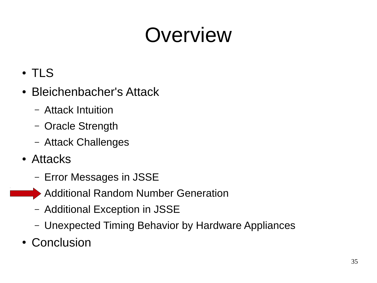#### Overview

- TLS
- Bleichenbacher's Attack
	- Attack Intuition
	- Oracle Strength
	- Attack Challenges
- Attacks
	- Error Messages in JSSE
	- Additional Random Number Generation
		- Additional Exception in JSSE
		- Unexpected Timing Behavior by Hardware Appliances
- Conclusion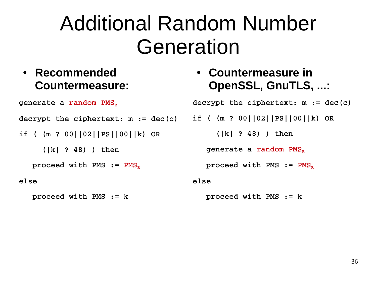#### Additional Random Number Generation

#### ● **Recommended Countermeasure:**

● **Countermeasure in OpenSSL, GnuTLS, ...:**

**decrypt the ciphertext: m := dec(c)**

**if ( (m ? 00||02||PS||00||k) OR** 

 **(|k| ? 48) ) then** 

generate a random PMS<sub>p</sub>

proceed with PMS := PMS<sub>R</sub>

#### **else**

 **proceed with PMS := k**

#### generate a random PMS<sub>p</sub>

**decrypt the ciphertext: m := dec(c)**

**if ( (m ? 00||02||PS||00||k) OR** 

 **(|k| ? 48) ) then** 

proceed with PMS := PMS<sub>P</sub>

**else**

 **proceed with PMS := k**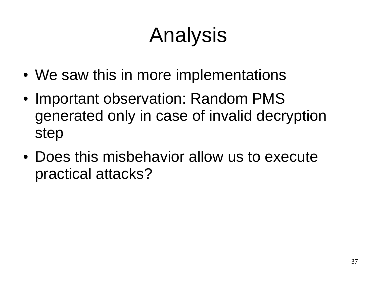# Analysis

- We saw this in more implementations
- Important observation: Random PMS generated only in case of invalid decryption step
- Does this misbehavior allow us to execute practical attacks?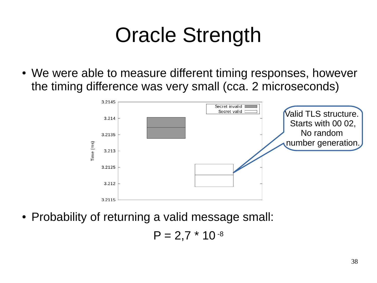#### Oracle Strength

• We were able to measure different timing responses, however the timing difference was very small (cca. 2 microseconds)



• Probability of returning a valid message small:

$$
P = 2.7 * 10^{-8}
$$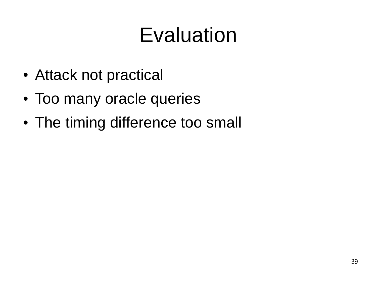#### Evaluation

- Attack not practical
- Too many oracle queries
- The timing difference too small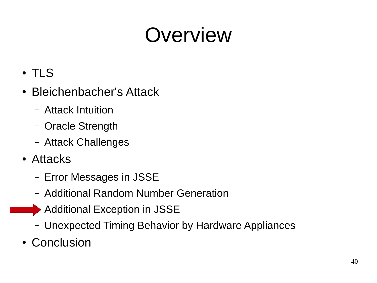#### Overview

- TLS
- Bleichenbacher's Attack
	- Attack Intuition
	- Oracle Strength
	- Attack Challenges
- Attacks
	- Error Messages in JSSE
	- Additional Random Number Generation
- **EXCEPTION AND ADDITIONAL EXCEPTION IN JSSE** 
	- Unexpected Timing Behavior by Hardware Appliances
	- Conclusion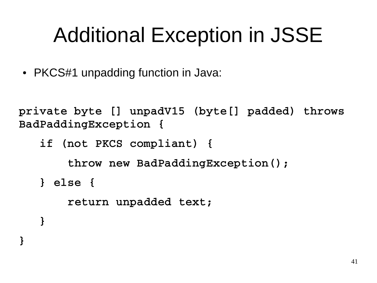#### Additional Exception in JSSE

• PKCS#1 unpadding function in Java:

**}**

**private byte [] unpadV15 (byte[] padded) throws BadPaddingException {**

```
   if (not PKCS compliant) {
            throw new BadPaddingException();
   } else {
            return unpadded text;
   }
```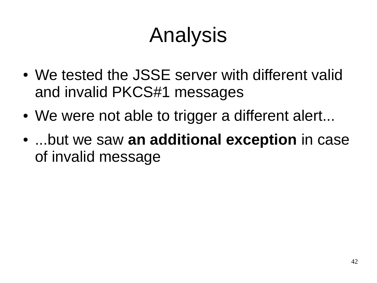## Analysis

- We tested the JSSE server with different valid and invalid PKCS#1 messages
- We were not able to trigger a different alert...
- ...but we saw **an additional exception** in case of invalid message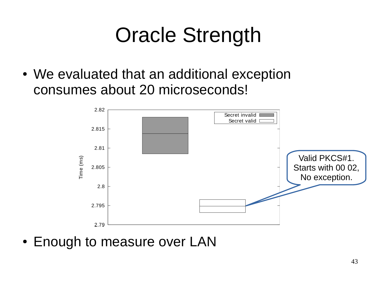#### Oracle Strength

• We evaluated that an additional exception consumes about 20 microseconds!



• Enough to measure over LAN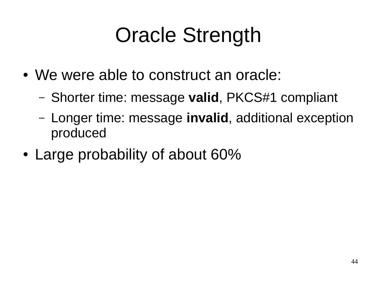#### Oracle Strength

- We were able to construct an oracle:
	- Shorter time: message **valid**, PKCS#1 compliant
	- Longer time: message **invalid**, additional exception produced
- Large probability of about 60%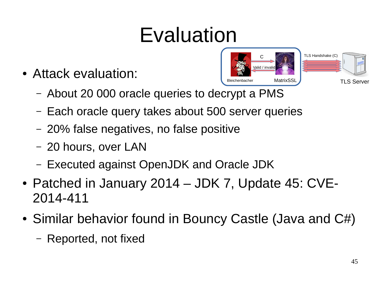#### Evaluation

• Attack evaluation:



- About 20 000 oracle queries to decrypt a PMS
- Each oracle query takes about 500 server queries
- 20% false negatives, no false positive
- 20 hours, over LAN
- Executed against OpenJDK and Oracle JDK
- Patched in January 2014 JDK 7, Update 45: CVE-2014-411
- Similar behavior found in Bouncy Castle (Java and  $C#$ )
	- Reported, not fixed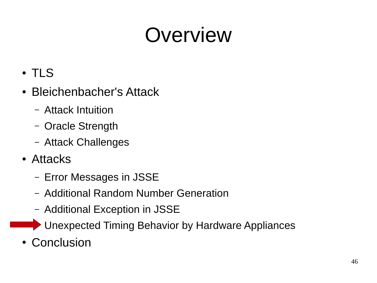#### Overview

- TLS
- Bleichenbacher's Attack
	- Attack Intuition
	- Oracle Strength
	- Attack Challenges
- Attacks
	- Error Messages in JSSE
	- Additional Random Number Generation
	- Additional Exception in JSSE
	- Unexpected Timing Behavior by Hardware Appliances
- Conclusion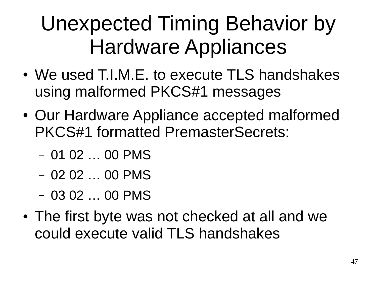#### Unexpected Timing Behavior by Hardware Appliances

- We used T.I.M.E. to execute TLS handshakes using malformed PKCS#1 messages
- Our Hardware Appliance accepted malformed PKCS#1 formatted PremasterSecrets:
	- 01 02 … 00 PMS
	- 02 02 … 00 PMS
	- 03 02 … 00 PMS
- The first byte was not checked at all and we could execute valid TLS handshakes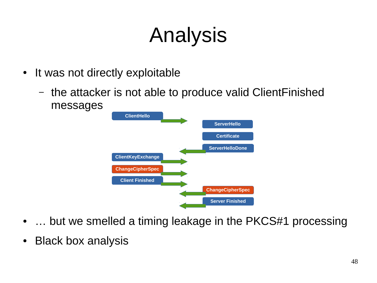# Analysis

- It was not directly exploitable
	- the attacker is not able to produce valid ClientFinished messages



- $\dots$  but we smelled a timing leakage in the PKCS#1 processing
- Black box analysis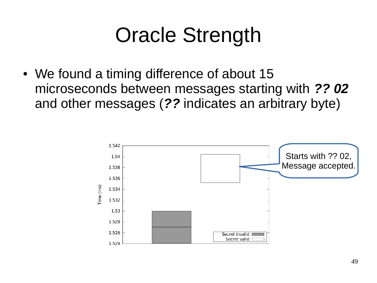#### Oracle Strength

• We found a timing difference of about 15 microseconds between messages starting with *?? 02* and other messages (*??* indicates an arbitrary byte)

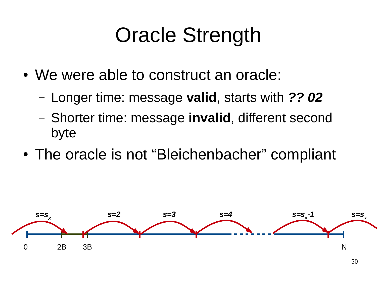#### Oracle Strength

- We were able to construct an oracle:
	- Longer time: message **valid**, starts with *?? 02*
	- Shorter time: message **invalid**, different second byte
- The oracle is not "Bleichenbacher" compliant

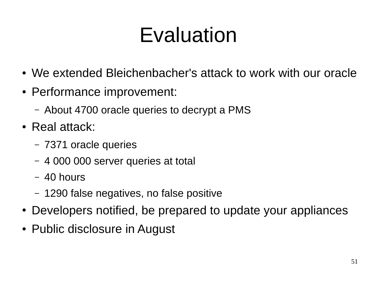#### Evaluation

- We extended Bleichenbacher's attack to work with our oracle
- Performance improvement:
	- About 4700 oracle queries to decrypt a PMS
- $\cdot$  Real attack:
	- 7371 oracle queries
	- 4 000 000 server queries at total
	- 40 hours
	- 1290 false negatives, no false positive
- Developers notified, be prepared to update your appliances
- Public disclosure in August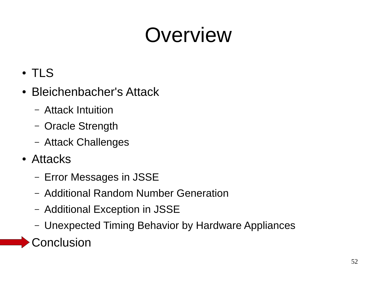#### Overview

- TLS
- Bleichenbacher's Attack
	- Attack Intuition
	- Oracle Strength
	- Attack Challenges
- Attacks
	- Error Messages in JSSE
	- Additional Random Number Generation
	- Additional Exception in JSSE
	- Unexpected Timing Behavior by Hardware Appliances

Conclusion